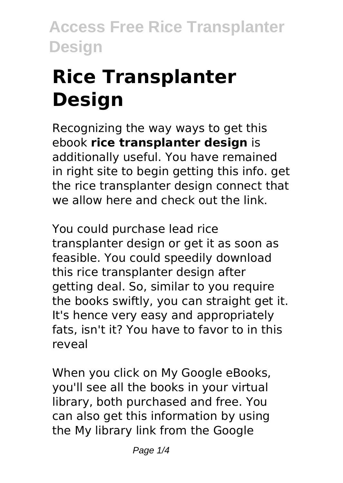# **Rice Transplanter Design**

Recognizing the way ways to get this ebook **rice transplanter design** is additionally useful. You have remained in right site to begin getting this info. get the rice transplanter design connect that we allow here and check out the link.

You could purchase lead rice transplanter design or get it as soon as feasible. You could speedily download this rice transplanter design after getting deal. So, similar to you require the books swiftly, you can straight get it. It's hence very easy and appropriately fats, isn't it? You have to favor to in this reveal

When you click on My Google eBooks, you'll see all the books in your virtual library, both purchased and free. You can also get this information by using the My library link from the Google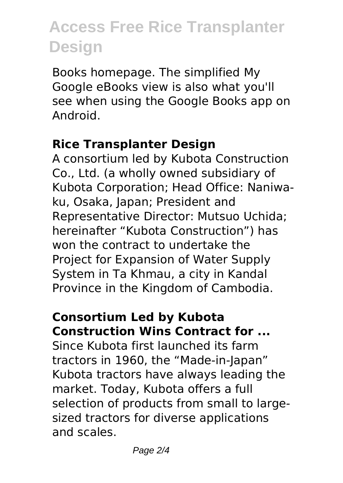Books homepage. The simplified My Google eBooks view is also what you'll see when using the Google Books app on Android.

#### **Rice Transplanter Design**

A consortium led by Kubota Construction Co., Ltd. (a wholly owned subsidiary of Kubota Corporation; Head Office: Naniwaku, Osaka, Japan; President and Representative Director: Mutsuo Uchida; hereinafter "Kubota Construction") has won the contract to undertake the Project for Expansion of Water Supply System in Ta Khmau, a city in Kandal Province in the Kingdom of Cambodia.

#### **Consortium Led by Kubota Construction Wins Contract for ...**

Since Kubota first launched its farm tractors in 1960, the "Made-in-Japan" Kubota tractors have always leading the market. Today, Kubota offers a full selection of products from small to largesized tractors for diverse applications and scales.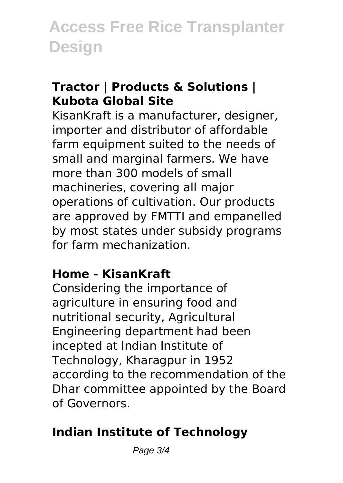### **Tractor | Products & Solutions | Kubota Global Site**

KisanKraft is a manufacturer, designer, importer and distributor of affordable farm equipment suited to the needs of small and marginal farmers. We have more than 300 models of small machineries, covering all major operations of cultivation. Our products are approved by FMTTI and empanelled by most states under subsidy programs for farm mechanization.

#### **Home - KisanKraft**

Considering the importance of agriculture in ensuring food and nutritional security, Agricultural Engineering department had been incepted at Indian Institute of Technology, Kharagpur in 1952 according to the recommendation of the Dhar committee appointed by the Board of Governors.

### **Indian Institute of Technology**

Page 3/4